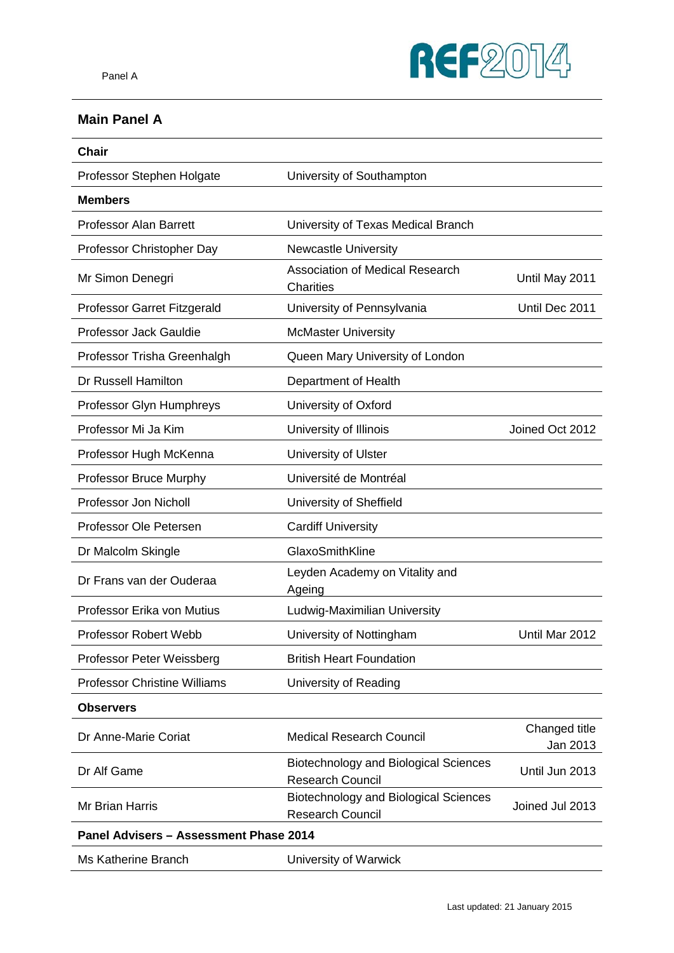

### **Main Panel A**

| <b>Chair</b>                           |                                                                         |                           |
|----------------------------------------|-------------------------------------------------------------------------|---------------------------|
| Professor Stephen Holgate              | University of Southampton                                               |                           |
| <b>Members</b>                         |                                                                         |                           |
| <b>Professor Alan Barrett</b>          | University of Texas Medical Branch                                      |                           |
| Professor Christopher Day              | <b>Newcastle University</b>                                             |                           |
| Mr Simon Denegri                       | Association of Medical Research<br><b>Charities</b>                     | Until May 2011            |
| Professor Garret Fitzgerald            | University of Pennsylvania                                              | Until Dec 2011            |
| Professor Jack Gauldie                 | <b>McMaster University</b>                                              |                           |
| Professor Trisha Greenhalgh            | Queen Mary University of London                                         |                           |
| Dr Russell Hamilton                    | Department of Health                                                    |                           |
| Professor Glyn Humphreys               | University of Oxford                                                    |                           |
| Professor Mi Ja Kim                    | University of Illinois                                                  | Joined Oct 2012           |
| Professor Hugh McKenna                 | University of Ulster                                                    |                           |
| Professor Bruce Murphy                 | Université de Montréal                                                  |                           |
| Professor Jon Nicholl                  | University of Sheffield                                                 |                           |
| Professor Ole Petersen                 | <b>Cardiff University</b>                                               |                           |
| Dr Malcolm Skingle                     | GlaxoSmithKline                                                         |                           |
| Dr Frans van der Ouderaa               | Leyden Academy on Vitality and<br>Ageing                                |                           |
| Professor Erika von Mutius             | Ludwig-Maximilian University                                            |                           |
| Professor Robert Webb                  | University of Nottingham                                                | Until Mar 2012            |
| Professor Peter Weissberg              | <b>British Heart Foundation</b>                                         |                           |
| <b>Professor Christine Williams</b>    | University of Reading                                                   |                           |
| <b>Observers</b>                       |                                                                         |                           |
| Dr Anne-Marie Coriat                   | <b>Medical Research Council</b>                                         | Changed title<br>Jan 2013 |
| Dr Alf Game                            | <b>Biotechnology and Biological Sciences</b><br>Research Council        | Until Jun 2013            |
| Mr Brian Harris                        | <b>Biotechnology and Biological Sciences</b><br><b>Research Council</b> | Joined Jul 2013           |
| Panel Advisers - Assessment Phase 2014 |                                                                         |                           |
| Ms Katherine Branch                    | University of Warwick                                                   |                           |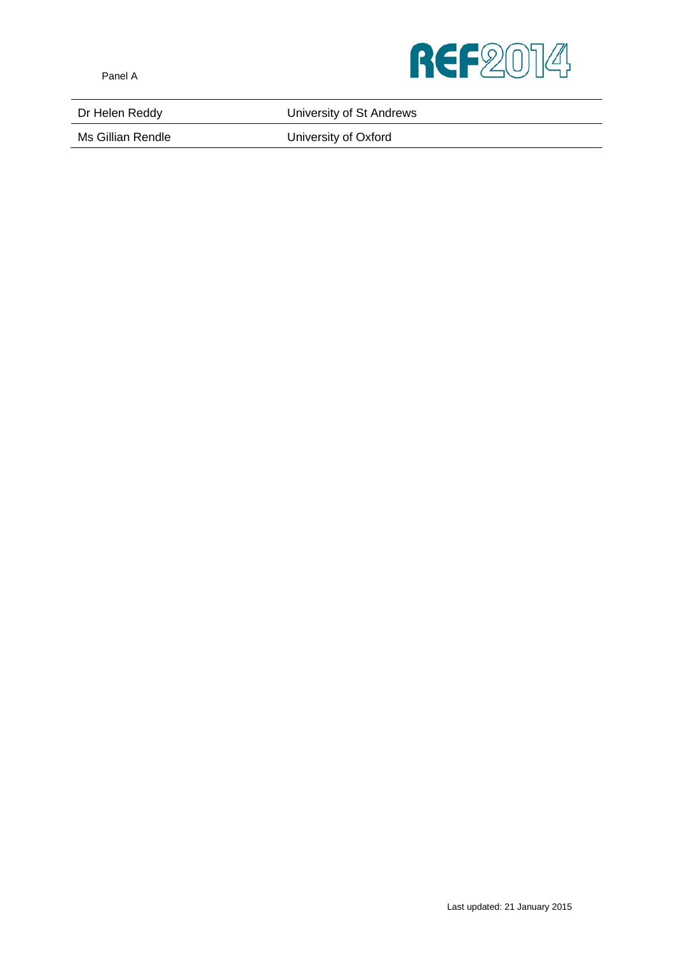

Dr Helen Reddy **National Exercise State University of St Andrews** 

Ms Gillian Rendle **National Contract Contract University of Oxford**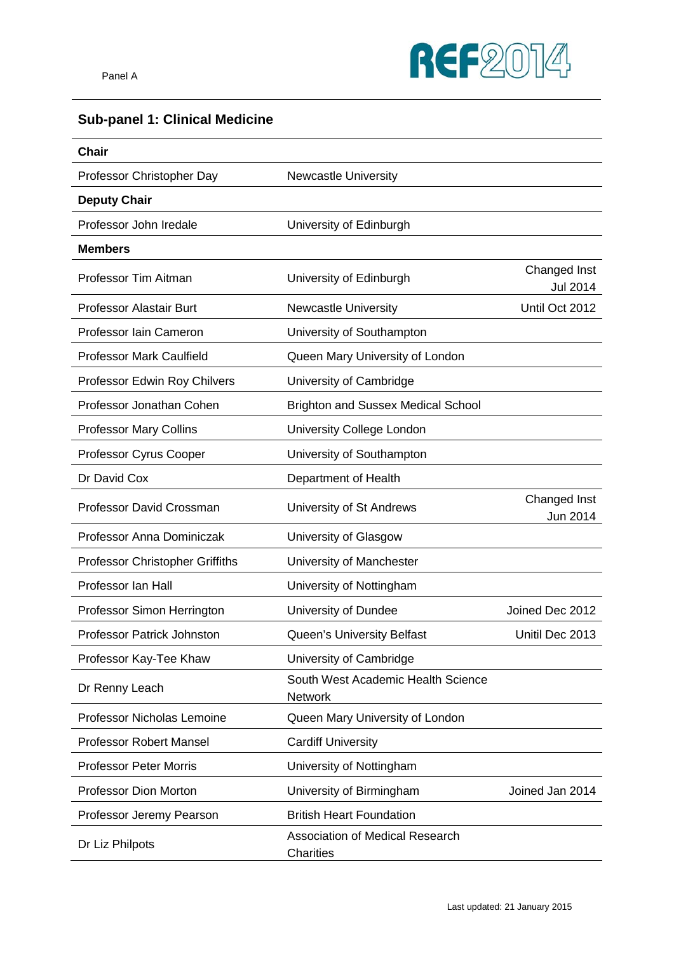

## **Sub-panel 1: Clinical Medicine**

| <b>Chair</b>                           |                                                      |                                 |
|----------------------------------------|------------------------------------------------------|---------------------------------|
| Professor Christopher Day              | <b>Newcastle University</b>                          |                                 |
| <b>Deputy Chair</b>                    |                                                      |                                 |
| Professor John Iredale                 | University of Edinburgh                              |                                 |
| <b>Members</b>                         |                                                      |                                 |
| Professor Tim Aitman                   | University of Edinburgh                              | Changed Inst<br><b>Jul 2014</b> |
| Professor Alastair Burt                | <b>Newcastle University</b>                          | Until Oct 2012                  |
| Professor Iain Cameron                 | University of Southampton                            |                                 |
| <b>Professor Mark Caulfield</b>        | Queen Mary University of London                      |                                 |
| Professor Edwin Roy Chilvers           | University of Cambridge                              |                                 |
| Professor Jonathan Cohen               | <b>Brighton and Sussex Medical School</b>            |                                 |
| <b>Professor Mary Collins</b>          | University College London                            |                                 |
| Professor Cyrus Cooper                 | University of Southampton                            |                                 |
| Dr David Cox                           | Department of Health                                 |                                 |
| <b>Professor David Crossman</b>        | University of St Andrews                             | Changed Inst<br>Jun 2014        |
| Professor Anna Dominiczak              | University of Glasgow                                |                                 |
| <b>Professor Christopher Griffiths</b> | University of Manchester                             |                                 |
| Professor Ian Hall                     | University of Nottingham                             |                                 |
| Professor Simon Herrington             | University of Dundee                                 | Joined Dec 2012                 |
| <b>Professor Patrick Johnston</b>      | <b>Queen's University Belfast</b>                    | Unitil Dec 2013                 |
| Professor Kay-Tee Khaw                 | University of Cambridge                              |                                 |
| Dr Renny Leach                         | South West Academic Health Science<br><b>Network</b> |                                 |
| <b>Professor Nicholas Lemoine</b>      | Queen Mary University of London                      |                                 |
| <b>Professor Robert Mansel</b>         | <b>Cardiff University</b>                            |                                 |
| <b>Professor Peter Morris</b>          | University of Nottingham                             |                                 |
| Professor Dion Morton                  | University of Birmingham                             | Joined Jan 2014                 |
| Professor Jeremy Pearson               | <b>British Heart Foundation</b>                      |                                 |
| Dr Liz Philpots                        | <b>Association of Medical Research</b><br>Charities  |                                 |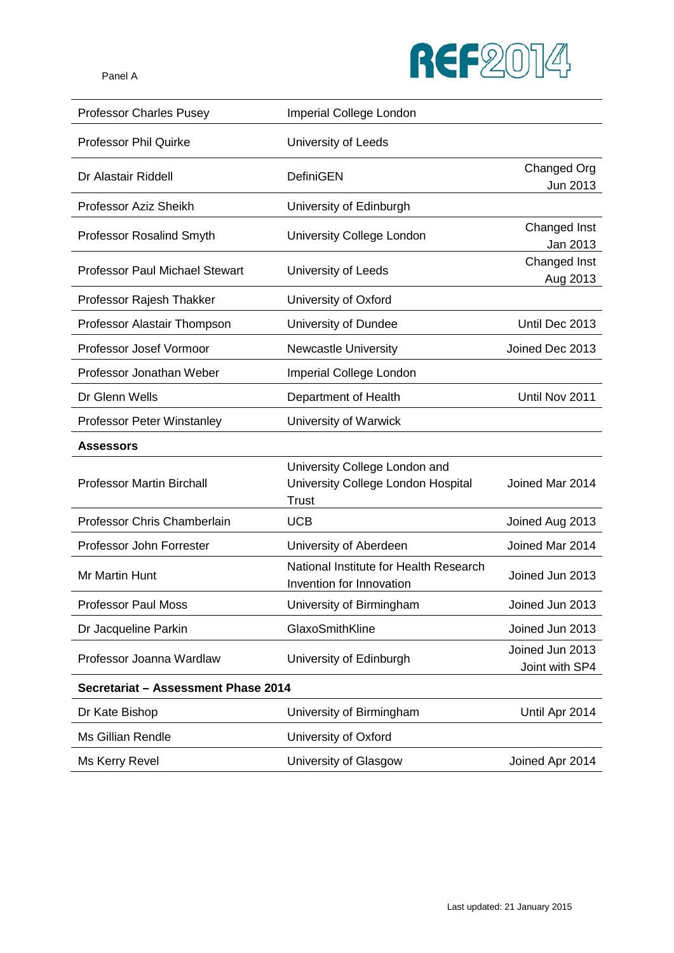

| <b>Professor Charles Pusey</b>        | Imperial College London                                                             |                                   |
|---------------------------------------|-------------------------------------------------------------------------------------|-----------------------------------|
| <b>Professor Phil Quirke</b>          | University of Leeds                                                                 |                                   |
| Dr Alastair Riddell                   | DefiniGEN                                                                           | Changed Org                       |
|                                       |                                                                                     | Jun 2013                          |
| Professor Aziz Sheikh                 | University of Edinburgh                                                             |                                   |
| <b>Professor Rosalind Smyth</b>       | University College London                                                           | Changed Inst<br>Jan 2013          |
| <b>Professor Paul Michael Stewart</b> | University of Leeds                                                                 | Changed Inst<br>Aug 2013          |
| Professor Rajesh Thakker              | University of Oxford                                                                |                                   |
| Professor Alastair Thompson           | University of Dundee                                                                | Until Dec 2013                    |
| Professor Josef Vormoor               | <b>Newcastle University</b>                                                         | Joined Dec 2013                   |
| Professor Jonathan Weber              | Imperial College London                                                             |                                   |
| Dr Glenn Wells                        | Department of Health                                                                | Until Nov 2011                    |
| <b>Professor Peter Winstanley</b>     | University of Warwick                                                               |                                   |
| Assessors                             |                                                                                     |                                   |
| <b>Professor Martin Birchall</b>      | University College London and<br>University College London Hospital<br><b>Trust</b> | Joined Mar 2014                   |
| Professor Chris Chamberlain           | <b>UCB</b>                                                                          | Joined Aug 2013                   |
| Professor John Forrester              | University of Aberdeen                                                              | Joined Mar 2014                   |
| Mr Martin Hunt                        | National Institute for Health Research<br>Invention for Innovation                  | Joined Jun 2013                   |
| <b>Professor Paul Moss</b>            | University of Birmingham                                                            | Joined Jun 2013                   |
| Dr Jacqueline Parkin                  | GlaxoSmithKline                                                                     | Joined Jun 2013                   |
| Professor Joanna Wardlaw              | University of Edinburgh                                                             | Joined Jun 2013<br>Joint with SP4 |
| Secretariat - Assessment Phase 2014   |                                                                                     |                                   |
| Dr Kate Bishop                        | University of Birmingham                                                            | Until Apr 2014                    |
| Ms Gillian Rendle                     | University of Oxford                                                                |                                   |
| Ms Kerry Revel                        | University of Glasgow                                                               | Joined Apr 2014                   |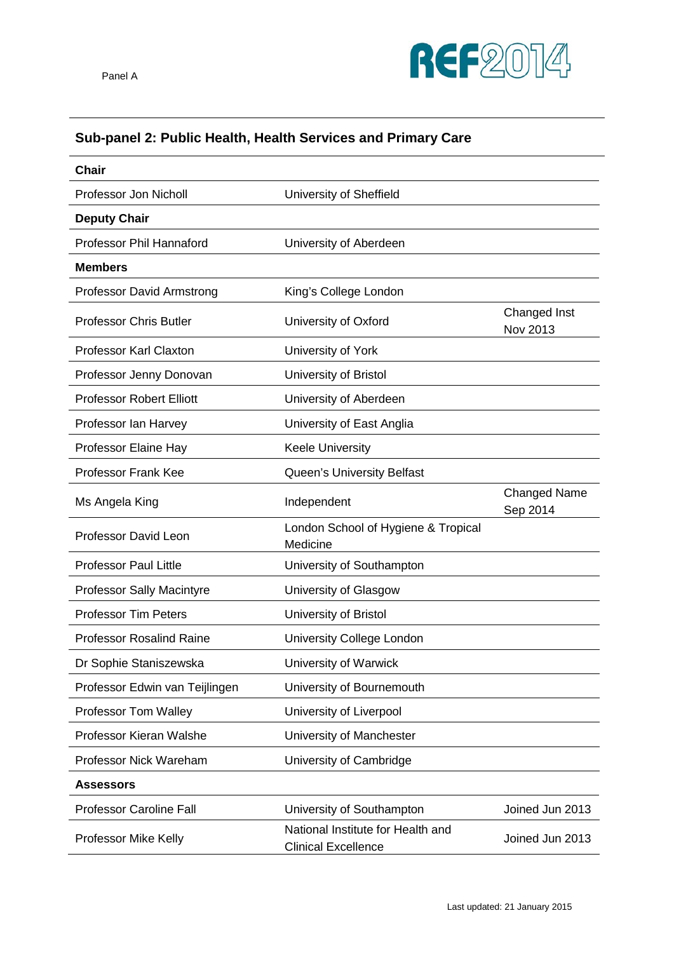## **Sub-panel 2: Public Health, Health Services and Primary Care**

| <b>Chair</b>                     |                                                                 |                                 |
|----------------------------------|-----------------------------------------------------------------|---------------------------------|
| Professor Jon Nicholl            | University of Sheffield                                         |                                 |
| <b>Deputy Chair</b>              |                                                                 |                                 |
| <b>Professor Phil Hannaford</b>  | University of Aberdeen                                          |                                 |
| <b>Members</b>                   |                                                                 |                                 |
| <b>Professor David Armstrong</b> | King's College London                                           |                                 |
| <b>Professor Chris Butler</b>    | University of Oxford                                            | Changed Inst<br>Nov 2013        |
| <b>Professor Karl Claxton</b>    | University of York                                              |                                 |
| Professor Jenny Donovan          | University of Bristol                                           |                                 |
| <b>Professor Robert Elliott</b>  | University of Aberdeen                                          |                                 |
| Professor Ian Harvey             | University of East Anglia                                       |                                 |
| Professor Elaine Hay             | <b>Keele University</b>                                         |                                 |
| <b>Professor Frank Kee</b>       | Queen's University Belfast                                      |                                 |
| Ms Angela King                   | Independent                                                     | <b>Changed Name</b><br>Sep 2014 |
| Professor David Leon             | London School of Hygiene & Tropical<br>Medicine                 |                                 |
| <b>Professor Paul Little</b>     | University of Southampton                                       |                                 |
| <b>Professor Sally Macintyre</b> | University of Glasgow                                           |                                 |
| <b>Professor Tim Peters</b>      | University of Bristol                                           |                                 |
| <b>Professor Rosalind Raine</b>  | University College London                                       |                                 |
| Dr Sophie Staniszewska           | University of Warwick                                           |                                 |
| Professor Edwin van Teijlingen   | University of Bournemouth                                       |                                 |
| <b>Professor Tom Walley</b>      | University of Liverpool                                         |                                 |
| Professor Kieran Walshe          | University of Manchester                                        |                                 |
| Professor Nick Wareham           | University of Cambridge                                         |                                 |
| <b>Assessors</b>                 |                                                                 |                                 |
| <b>Professor Caroline Fall</b>   | University of Southampton                                       | Joined Jun 2013                 |
| Professor Mike Kelly             | National Institute for Health and<br><b>Clinical Excellence</b> | Joined Jun 2013                 |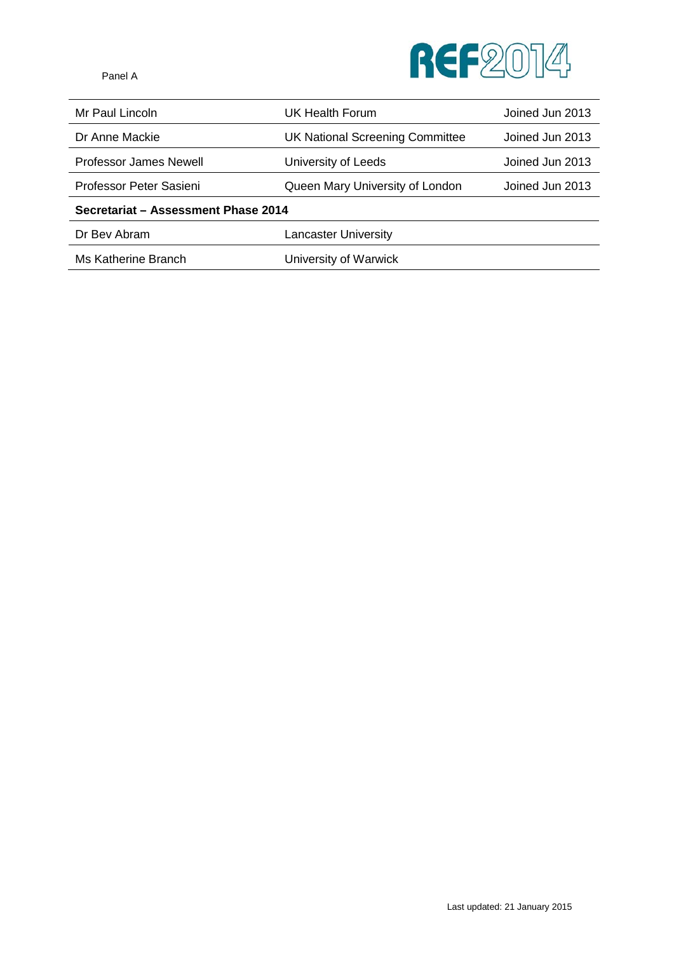

Mr Paul Lincoln **International COV** UK Health Forum **COVID-10** Joined Jun 2013 Dr Anne Mackie UK National Screening Committee Joined Jun 2013

Professor James Newell **University of Leeds** Joined Jun 2013

Professor Peter Sasieni **Queen Mary University of London** Joined Jun 2013

**Secretariat – Assessment Phase 2014**

Dr Bev Abram **Lancaster University** 

Ms Katherine Branch University of Warwick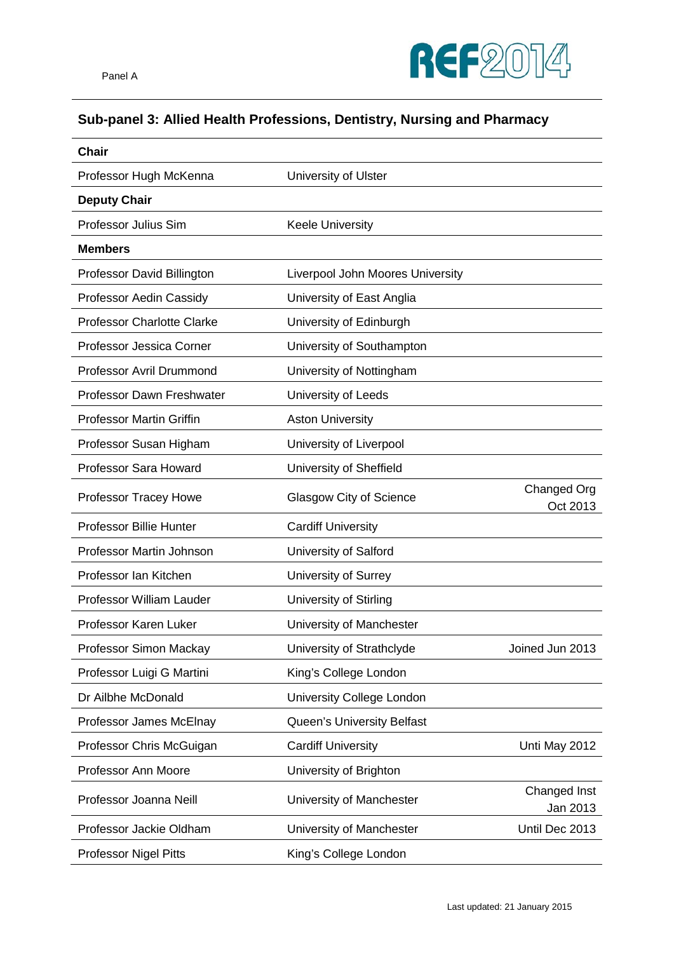

## **Sub-panel 3: Allied Health Professions, Dentistry, Nursing and Pharmacy**

| <b>Chair</b>                      |                                  |                          |
|-----------------------------------|----------------------------------|--------------------------|
| Professor Hugh McKenna            | University of Ulster             |                          |
| <b>Deputy Chair</b>               |                                  |                          |
| Professor Julius Sim              | <b>Keele University</b>          |                          |
| <b>Members</b>                    |                                  |                          |
| Professor David Billington        | Liverpool John Moores University |                          |
| Professor Aedin Cassidy           | University of East Anglia        |                          |
| <b>Professor Charlotte Clarke</b> | University of Edinburgh          |                          |
| Professor Jessica Corner          | University of Southampton        |                          |
| <b>Professor Avril Drummond</b>   | University of Nottingham         |                          |
| Professor Dawn Freshwater         | University of Leeds              |                          |
| <b>Professor Martin Griffin</b>   | <b>Aston University</b>          |                          |
| Professor Susan Higham            | University of Liverpool          |                          |
| Professor Sara Howard             | University of Sheffield          |                          |
| Professor Tracey Howe             | Glasgow City of Science          | Changed Org<br>Oct 2013  |
| <b>Professor Billie Hunter</b>    | <b>Cardiff University</b>        |                          |
| Professor Martin Johnson          | University of Salford            |                          |
| Professor Ian Kitchen             | University of Surrey             |                          |
| Professor William Lauder          | University of Stirling           |                          |
| Professor Karen Luker             | University of Manchester         |                          |
| Professor Simon Mackay            | University of Strathclyde        | Joined Jun 2013          |
| Professor Luigi G Martini         | King's College London            |                          |
| Dr Ailbhe McDonald                | University College London        |                          |
| Professor James McElnay           | Queen's University Belfast       |                          |
| Professor Chris McGuigan          | <b>Cardiff University</b>        | Unti May 2012            |
| Professor Ann Moore               | University of Brighton           |                          |
| Professor Joanna Neill            | University of Manchester         | Changed Inst<br>Jan 2013 |
| Professor Jackie Oldham           | University of Manchester         | Until Dec 2013           |
| <b>Professor Nigel Pitts</b>      | King's College London            |                          |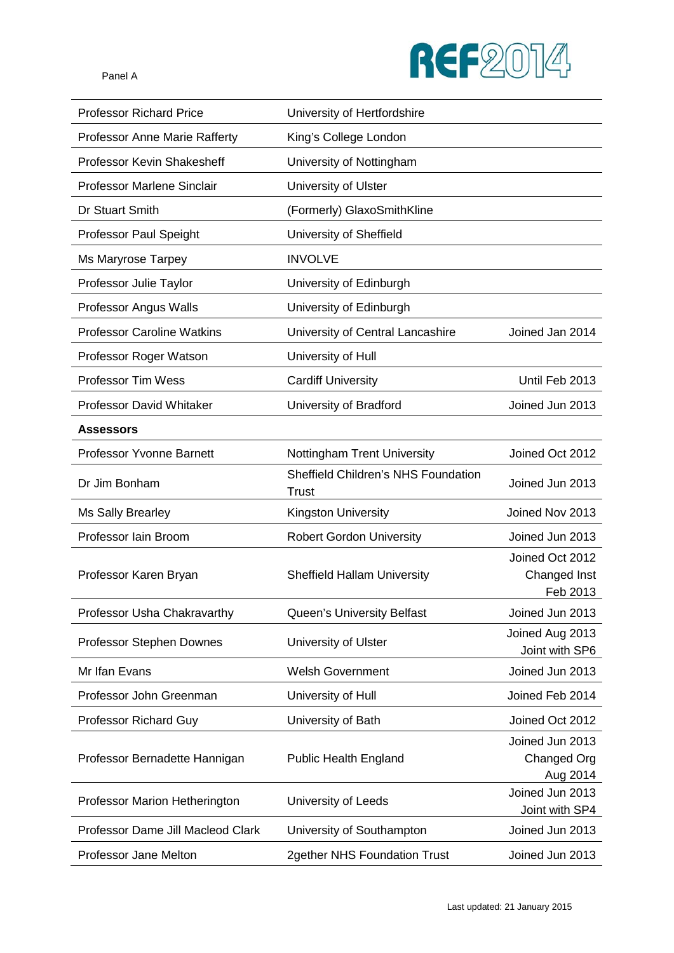

| <b>Professor Richard Price</b>       | University of Hertfordshire                                |                                             |
|--------------------------------------|------------------------------------------------------------|---------------------------------------------|
| <b>Professor Anne Marie Rafferty</b> | King's College London                                      |                                             |
| Professor Kevin Shakesheff           | University of Nottingham                                   |                                             |
| <b>Professor Marlene Sinclair</b>    | University of Ulster                                       |                                             |
| Dr Stuart Smith                      | (Formerly) GlaxoSmithKline                                 |                                             |
| <b>Professor Paul Speight</b>        | University of Sheffield                                    |                                             |
| <b>Ms Maryrose Tarpey</b>            | <b>INVOLVE</b>                                             |                                             |
| Professor Julie Taylor               | University of Edinburgh                                    |                                             |
| Professor Angus Walls                | University of Edinburgh                                    |                                             |
| <b>Professor Caroline Watkins</b>    | University of Central Lancashire                           | Joined Jan 2014                             |
| Professor Roger Watson               | University of Hull                                         |                                             |
| Professor Tim Wess                   | <b>Cardiff University</b>                                  | Until Feb 2013                              |
| <b>Professor David Whitaker</b>      | University of Bradford                                     | Joined Jun 2013                             |
| <b>Assessors</b>                     |                                                            |                                             |
| <b>Professor Yvonne Barnett</b>      | Nottingham Trent University                                | Joined Oct 2012                             |
| Dr Jim Bonham                        | <b>Sheffield Children's NHS Foundation</b><br><b>Trust</b> | Joined Jun 2013                             |
| Ms Sally Brearley                    | Kingston University                                        | Joined Nov 2013                             |
| Professor Iain Broom                 | <b>Robert Gordon University</b>                            | Joined Jun 2013                             |
| Professor Karen Bryan                | <b>Sheffield Hallam University</b>                         | Joined Oct 2012<br>Changed Inst<br>Feb 2013 |
| Professor Usha Chakravarthy          | Queen's University Belfast                                 | Joined Jun 2013                             |
| Professor Stephen Downes             | University of Ulster                                       | Joined Aug 2013<br>Joint with SP6           |
| Mr Ifan Evans                        | <b>Welsh Government</b>                                    | Joined Jun 2013                             |
| Professor John Greenman              | University of Hull                                         | Joined Feb 2014                             |
| <b>Professor Richard Guy</b>         | University of Bath                                         | Joined Oct 2012                             |
| Professor Bernadette Hannigan        | <b>Public Health England</b>                               | Joined Jun 2013<br>Changed Org<br>Aug 2014  |
| Professor Marion Hetherington        | University of Leeds                                        | Joined Jun 2013<br>Joint with SP4           |
| Professor Dame Jill Macleod Clark    | University of Southampton                                  | Joined Jun 2013                             |
| Professor Jane Melton                | 2gether NHS Foundation Trust                               | Joined Jun 2013                             |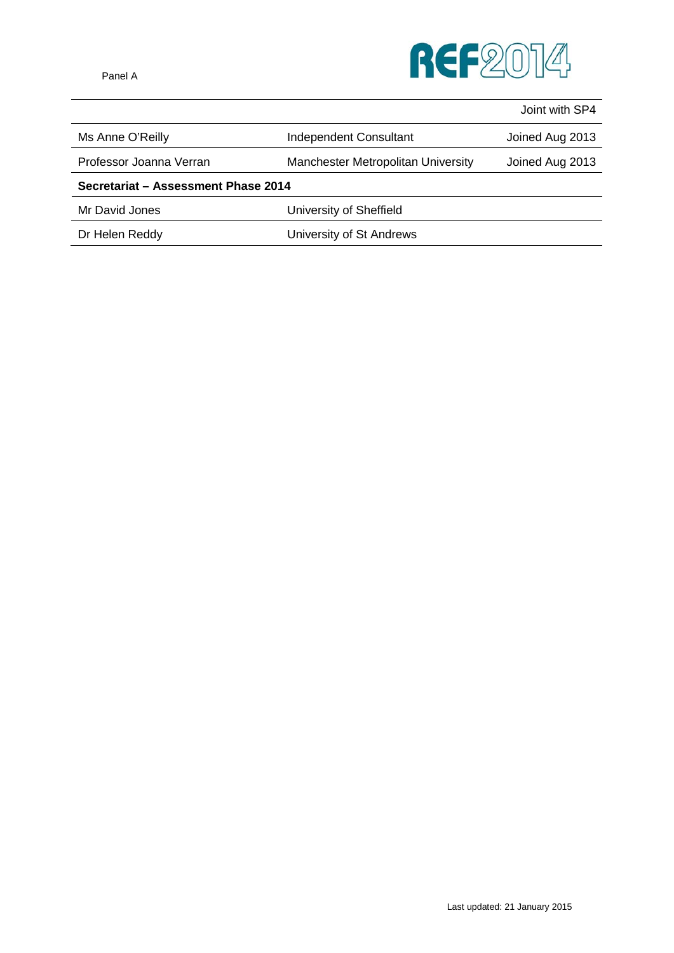

|                                     |                                    | Joint with SP4  |
|-------------------------------------|------------------------------------|-----------------|
| Ms Anne O'Reilly                    | Independent Consultant             | Joined Aug 2013 |
| Professor Joanna Verran             | Manchester Metropolitan University | Joined Aug 2013 |
| Secretariat - Assessment Phase 2014 |                                    |                 |
| Mr David Jones                      | University of Sheffield            |                 |
| Dr Helen Reddy                      | University of St Andrews           |                 |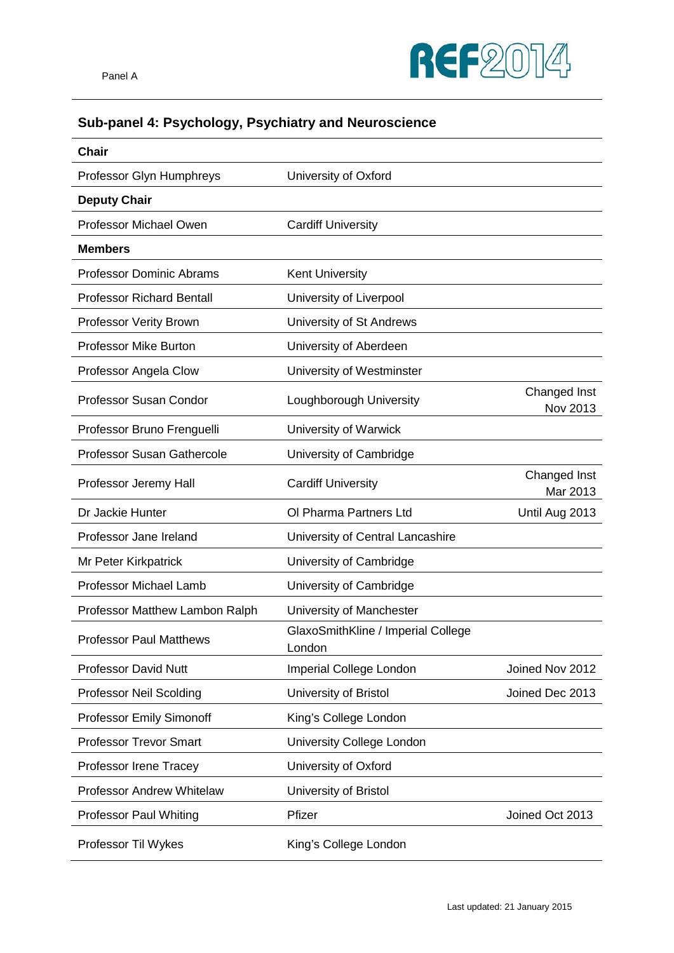

## **Sub-panel 4: Psychology, Psychiatry and Neuroscience**

| <b>Chair</b>                      |                                              |                          |
|-----------------------------------|----------------------------------------------|--------------------------|
| Professor Glyn Humphreys          | University of Oxford                         |                          |
| <b>Deputy Chair</b>               |                                              |                          |
| Professor Michael Owen            | <b>Cardiff University</b>                    |                          |
| <b>Members</b>                    |                                              |                          |
| <b>Professor Dominic Abrams</b>   | <b>Kent University</b>                       |                          |
| <b>Professor Richard Bentall</b>  | University of Liverpool                      |                          |
| Professor Verity Brown            | University of St Andrews                     |                          |
| <b>Professor Mike Burton</b>      | University of Aberdeen                       |                          |
| Professor Angela Clow             | University of Westminster                    |                          |
| Professor Susan Condor            | Loughborough University                      | Changed Inst<br>Nov 2013 |
| Professor Bruno Frenguelli        | University of Warwick                        |                          |
| <b>Professor Susan Gathercole</b> | University of Cambridge                      |                          |
| Professor Jeremy Hall             | <b>Cardiff University</b>                    | Changed Inst<br>Mar 2013 |
| Dr Jackie Hunter                  | Ol Pharma Partners Ltd                       | Until Aug 2013           |
| Professor Jane Ireland            | University of Central Lancashire             |                          |
| Mr Peter Kirkpatrick              | University of Cambridge                      |                          |
| <b>Professor Michael Lamb</b>     | University of Cambridge                      |                          |
| Professor Matthew Lambon Ralph    | University of Manchester                     |                          |
| <b>Professor Paul Matthews</b>    | GlaxoSmithKline / Imperial College<br>London |                          |
| <b>Professor David Nutt</b>       | Imperial College London                      | Joined Nov 2012          |
| Professor Neil Scolding           | University of Bristol                        | Joined Dec 2013          |
| <b>Professor Emily Simonoff</b>   | King's College London                        |                          |
| <b>Professor Trevor Smart</b>     | University College London                    |                          |
| Professor Irene Tracey            | University of Oxford                         |                          |
| <b>Professor Andrew Whitelaw</b>  | University of Bristol                        |                          |
| <b>Professor Paul Whiting</b>     | Pfizer                                       | Joined Oct 2013          |
| Professor Til Wykes               | King's College London                        |                          |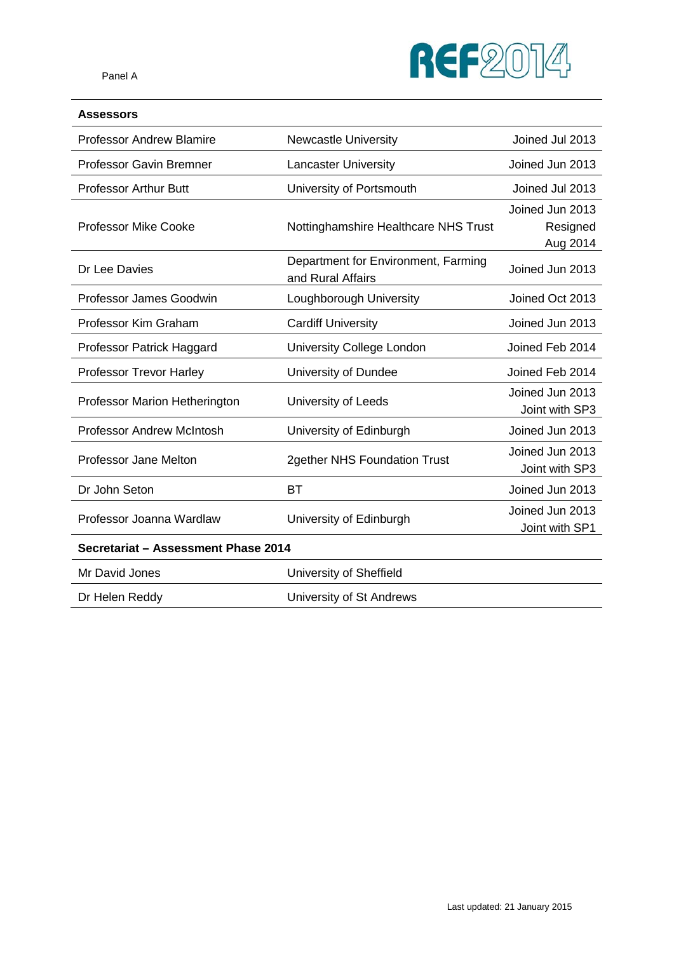

### **Assessors**

| <b>Professor Andrew Blamire</b>     | <b>Newcastle University</b>                              | Joined Jul 2013                         |
|-------------------------------------|----------------------------------------------------------|-----------------------------------------|
| <b>Professor Gavin Bremner</b>      | <b>Lancaster University</b>                              | Joined Jun 2013                         |
| <b>Professor Arthur Butt</b>        | University of Portsmouth                                 | Joined Jul 2013                         |
| <b>Professor Mike Cooke</b>         | Nottinghamshire Healthcare NHS Trust                     | Joined Jun 2013<br>Resigned<br>Aug 2014 |
| Dr Lee Davies                       | Department for Environment, Farming<br>and Rural Affairs | Joined Jun 2013                         |
| Professor James Goodwin             | Loughborough University                                  | Joined Oct 2013                         |
| Professor Kim Graham                | <b>Cardiff University</b>                                | Joined Jun 2013                         |
| Professor Patrick Haggard           | University College London                                | Joined Feb 2014                         |
| Professor Trevor Harley             | University of Dundee                                     | Joined Feb 2014                         |
| Professor Marion Hetherington       | University of Leeds                                      | Joined Jun 2013<br>Joint with SP3       |
| <b>Professor Andrew McIntosh</b>    | University of Edinburgh                                  | Joined Jun 2013                         |
| Professor Jane Melton               | 2gether NHS Foundation Trust                             | Joined Jun 2013<br>Joint with SP3       |
| Dr John Seton                       | <b>BT</b>                                                | Joined Jun 2013                         |
| Professor Joanna Wardlaw            | University of Edinburgh                                  | Joined Jun 2013<br>Joint with SP1       |
| Secretariat - Assessment Phase 2014 |                                                          |                                         |
| Mr David Jones                      | University of Sheffield                                  |                                         |
| Dr Helen Reddy                      | University of St Andrews                                 |                                         |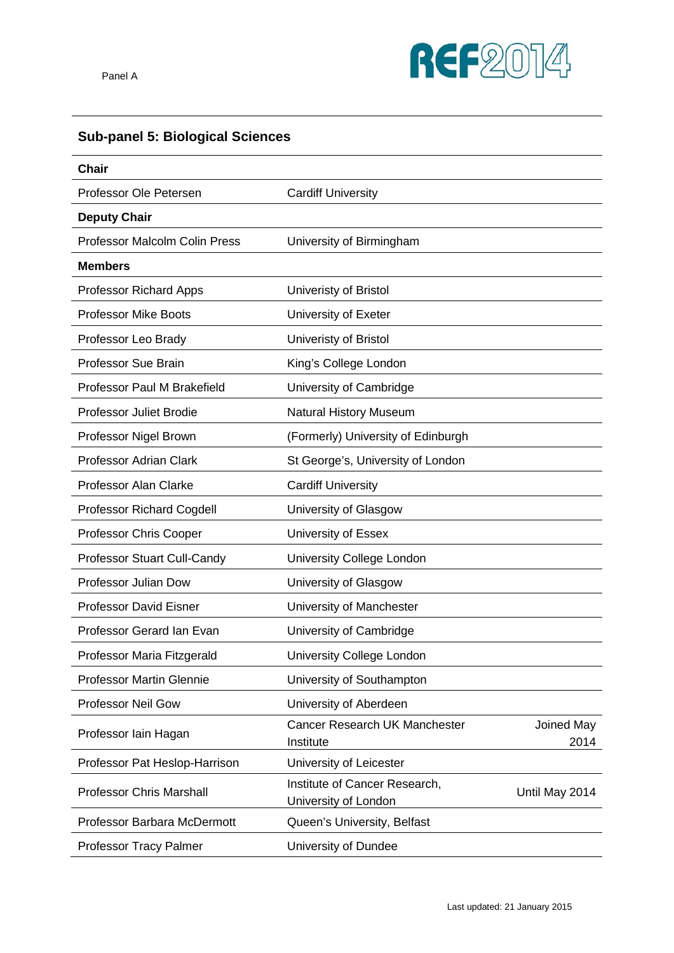

# **Sub-panel 5: Biological Sciences**

| Chair                                |                                                       |                    |
|--------------------------------------|-------------------------------------------------------|--------------------|
| Professor Ole Petersen               | <b>Cardiff University</b>                             |                    |
| <b>Deputy Chair</b>                  |                                                       |                    |
| <b>Professor Malcolm Colin Press</b> | University of Birmingham                              |                    |
| <b>Members</b>                       |                                                       |                    |
| <b>Professor Richard Apps</b>        | Univeristy of Bristol                                 |                    |
| <b>Professor Mike Boots</b>          | University of Exeter                                  |                    |
| Professor Leo Brady                  | Univeristy of Bristol                                 |                    |
| <b>Professor Sue Brain</b>           | King's College London                                 |                    |
| Professor Paul M Brakefield          | University of Cambridge                               |                    |
| <b>Professor Juliet Brodie</b>       | <b>Natural History Museum</b>                         |                    |
| Professor Nigel Brown                | (Formerly) University of Edinburgh                    |                    |
| <b>Professor Adrian Clark</b>        | St George's, University of London                     |                    |
| <b>Professor Alan Clarke</b>         | <b>Cardiff University</b>                             |                    |
| <b>Professor Richard Cogdell</b>     | University of Glasgow                                 |                    |
| Professor Chris Cooper               | University of Essex                                   |                    |
| Professor Stuart Cull-Candy          | University College London                             |                    |
| Professor Julian Dow                 | University of Glasgow                                 |                    |
| <b>Professor David Eisner</b>        | University of Manchester                              |                    |
| Professor Gerard Ian Evan            | University of Cambridge                               |                    |
| Professor Maria Fitzgerald           | University College London                             |                    |
| <b>Professor Martin Glennie</b>      | University of Southampton                             |                    |
| Professor Neil Gow                   | University of Aberdeen                                |                    |
| Professor Iain Hagan                 | Cancer Research UK Manchester<br>Institute            | Joined May<br>2014 |
| Professor Pat Heslop-Harrison        | University of Leicester                               |                    |
| <b>Professor Chris Marshall</b>      | Institute of Cancer Research,<br>University of London | Until May 2014     |
| Professor Barbara McDermott          | Queen's University, Belfast                           |                    |
| Professor Tracy Palmer               | University of Dundee                                  |                    |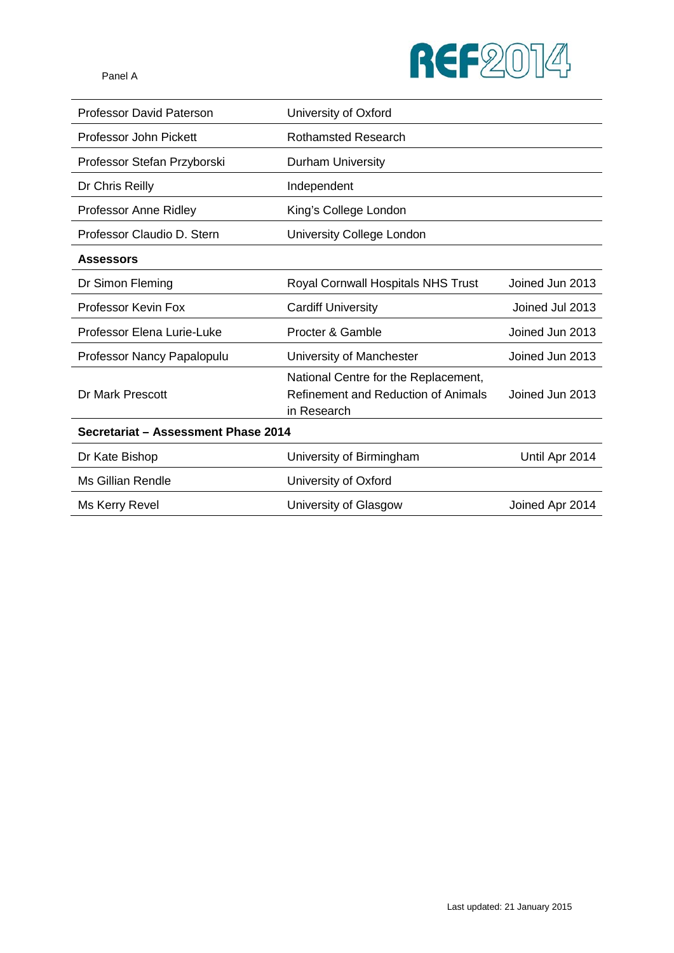

| <b>Professor David Paterson</b>     | University of Oxford                                                                       |                 |
|-------------------------------------|--------------------------------------------------------------------------------------------|-----------------|
| Professor John Pickett              | <b>Rothamsted Research</b>                                                                 |                 |
| Professor Stefan Przyborski         | <b>Durham University</b>                                                                   |                 |
| Dr Chris Reilly                     | Independent                                                                                |                 |
| Professor Anne Ridley               | King's College London                                                                      |                 |
| Professor Claudio D. Stern          | University College London                                                                  |                 |
| <b>Assessors</b>                    |                                                                                            |                 |
| Dr Simon Fleming                    | Royal Cornwall Hospitals NHS Trust                                                         | Joined Jun 2013 |
| Professor Kevin Fox                 | <b>Cardiff University</b>                                                                  | Joined Jul 2013 |
| Professor Elena Lurie-Luke          | Procter & Gamble                                                                           | Joined Jun 2013 |
| Professor Nancy Papalopulu          | University of Manchester                                                                   | Joined Jun 2013 |
| Dr Mark Prescott                    | National Centre for the Replacement,<br>Refinement and Reduction of Animals<br>in Research | Joined Jun 2013 |
| Secretariat - Assessment Phase 2014 |                                                                                            |                 |
| Dr Kate Bishop                      | University of Birmingham                                                                   | Until Apr 2014  |
| <b>Ms Gillian Rendle</b>            | University of Oxford                                                                       |                 |
| Ms Kerry Revel                      | University of Glasgow                                                                      | Joined Apr 2014 |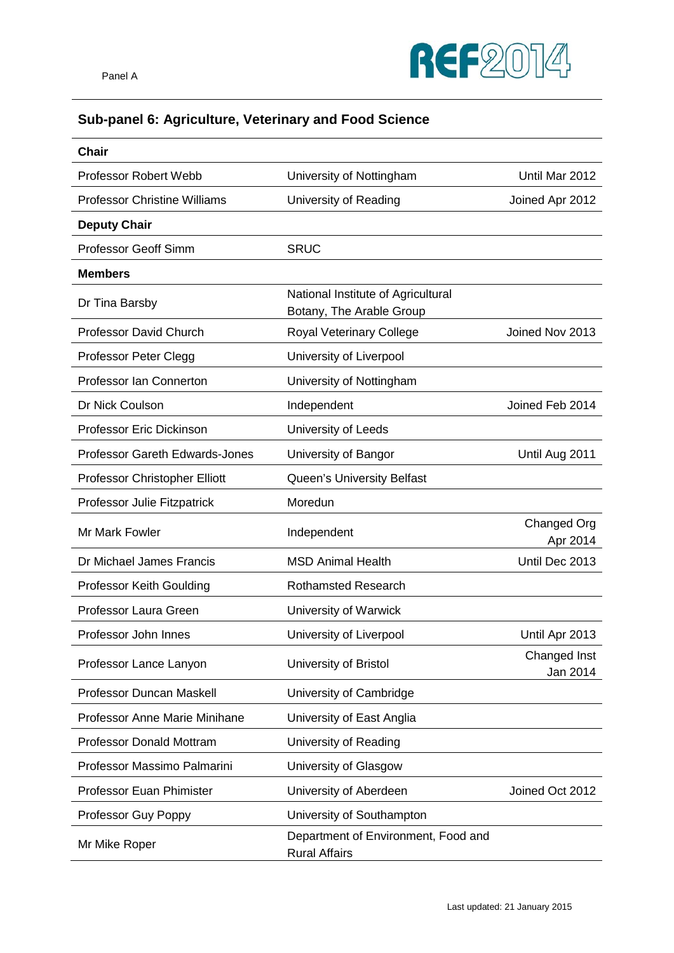

## **Sub-panel 6: Agriculture, Veterinary and Food Science**

| <b>Chair</b>                          |                                                                |                          |
|---------------------------------------|----------------------------------------------------------------|--------------------------|
| <b>Professor Robert Webb</b>          | University of Nottingham                                       | Until Mar 2012           |
| <b>Professor Christine Williams</b>   | University of Reading                                          | Joined Apr 2012          |
| <b>Deputy Chair</b>                   |                                                                |                          |
| <b>Professor Geoff Simm</b>           | <b>SRUC</b>                                                    |                          |
| <b>Members</b>                        |                                                                |                          |
| Dr Tina Barsby                        | National Institute of Agricultural<br>Botany, The Arable Group |                          |
| <b>Professor David Church</b>         | Royal Veterinary College                                       | Joined Nov 2013          |
| <b>Professor Peter Clegg</b>          | University of Liverpool                                        |                          |
| Professor Ian Connerton               | University of Nottingham                                       |                          |
| Dr Nick Coulson                       | Independent                                                    | Joined Feb 2014          |
| <b>Professor Eric Dickinson</b>       | University of Leeds                                            |                          |
| <b>Professor Gareth Edwards-Jones</b> | University of Bangor                                           | Until Aug 2011           |
| Professor Christopher Elliott         | Queen's University Belfast                                     |                          |
| Professor Julie Fitzpatrick           | Moredun                                                        |                          |
| Mr Mark Fowler                        | Independent                                                    | Changed Org<br>Apr 2014  |
| Dr Michael James Francis              | <b>MSD Animal Health</b>                                       | Until Dec 2013           |
| Professor Keith Goulding              | <b>Rothamsted Research</b>                                     |                          |
| Professor Laura Green                 | University of Warwick                                          |                          |
| Professor John Innes                  | University of Liverpool                                        | Until Apr 2013           |
| Professor Lance Lanyon                | University of Bristol                                          | Changed Inst<br>Jan 2014 |
| Professor Duncan Maskell              | University of Cambridge                                        |                          |
| Professor Anne Marie Minihane         | University of East Anglia                                      |                          |
| <b>Professor Donald Mottram</b>       | University of Reading                                          |                          |
| Professor Massimo Palmarini           | University of Glasgow                                          |                          |
| <b>Professor Euan Phimister</b>       | University of Aberdeen                                         | Joined Oct 2012          |
| Professor Guy Poppy                   | University of Southampton                                      |                          |
| Mr Mike Roper                         | Department of Environment, Food and<br><b>Rural Affairs</b>    |                          |